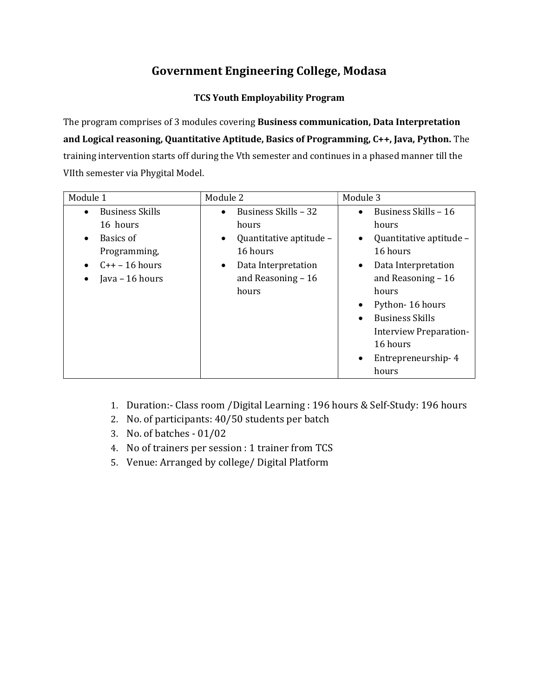## Government Engineering College, Modasa

### TCS Youth Employability Program

The program comprises of 3 modules covering Business communication, Data Interpretation and Logical reasoning, Quantitative Aptitude, Basics of Programming, C++, Java, Python. The training intervention starts off during the Vth semester and continues in a phased manner till the VIIth semester via Phygital Model.

| Module 1                            | Module 2                             | Module 3                             |  |
|-------------------------------------|--------------------------------------|--------------------------------------|--|
| <b>Business Skills</b><br>$\bullet$ | Business Skills - 32<br>$\bullet$    | Business Skills - 16<br>$\bullet$    |  |
| 16 hours                            | hours                                | hours                                |  |
| Basics of                           | Quantitative aptitude -<br>$\bullet$ | Quantitative aptitude -<br>$\bullet$ |  |
| Programming,                        | 16 hours                             | 16 hours                             |  |
| $C++-16$ hours                      | Data Interpretation<br>$\bullet$     | Data Interpretation<br>$\bullet$     |  |
| Java - 16 hours                     | and Reasoning $-16$                  | and Reasoning $-16$                  |  |
|                                     | hours                                | hours                                |  |
|                                     |                                      | Python-16 hours<br>$\bullet$         |  |
|                                     |                                      | <b>Business Skills</b><br>$\bullet$  |  |
|                                     |                                      | Interview Preparation-               |  |
|                                     |                                      | 16 hours                             |  |
|                                     |                                      | Entrepreneurship-4<br>$\bullet$      |  |
|                                     |                                      | hours                                |  |

- 1. Duration:- Class room /Digital Learning : 196 hours & Self-Study: 196 hours
- 2. No. of participants: 40/50 students per batch
- 3. No. of batches 01/02
- 4. No of trainers per session : 1 trainer from TCS
- 5. Venue: Arranged by college/ Digital Platform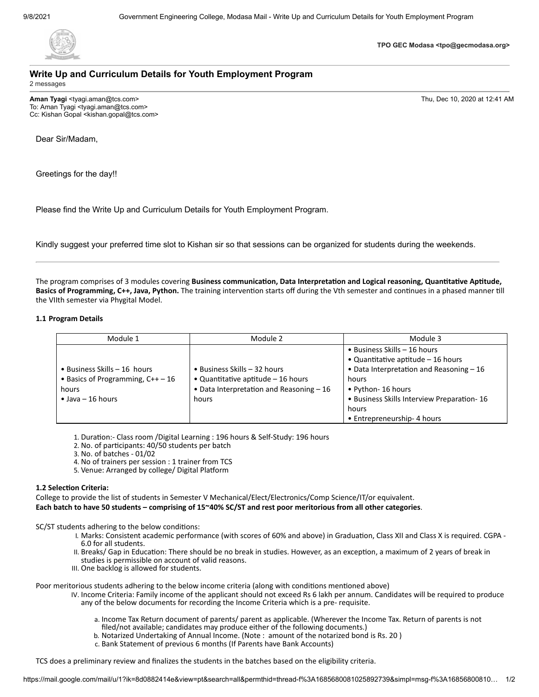

**TPO GEC Modasa <tpo@gecmodasa.org>**

#### **Write Up and Curriculum Details for Youth Employment Program** 2 messages

**Aman Tyagi** <tyagi.aman@tcs.com> Thu, Dec 10, 2020 at 12:41 AM To: Aman Tyagi <tyagi.aman@tcs.com> Cc: Kishan Gopal <kishan.gopal@tcs.com>

Dear Sir/Madam,

Greetings for the day!!

Please find the Write Up and Curriculum Details for Youth Employment Program.

Kindly suggest your preferred time slot to Kishan sir so that sessions can be organized for students during the weekends.

The program comprises of 3 modules covering **Business communication, Data Interpretation and Logical reasoning, Quantitative Aptitude, Basics of Programming, C++, Java, Python.** The training intervention starts off during the Vth semester and continues in a phased manner till the VIIth semester via Phygital Model.

#### **1.1 Program Details**

| Module 1                                                                                                        | Module 2                                                                                                                          | Module 3                                                                                                                                                                                                                                    |  |
|-----------------------------------------------------------------------------------------------------------------|-----------------------------------------------------------------------------------------------------------------------------------|---------------------------------------------------------------------------------------------------------------------------------------------------------------------------------------------------------------------------------------------|--|
| $\bullet$ Business Skills – 16 hours<br>• Basics of Programming, $C++-16$<br>hours<br>$\bullet$ Java – 16 hours | $\bullet$ Business Skills - 32 hours<br>• Quantitative aptitude $-16$ hours<br>• Data Interpretation and Reasoning $-16$<br>hours | • Business Skills – 16 hours<br>• Quantitative aptitude $-16$ hours<br>$\bullet$ Data Interpretation and Reasoning - 16<br>hours<br>• Python- 16 hours<br>• Business Skills Interview Preparation-16<br>hours<br>• Entrepreneurship-4 hours |  |

1. Duration:- Class room /Digital Learning : 196 hours & Self-Study: 196 hours

- 2. No. of participants: 40/50 students per batch
- 3. No. of batches 01/02
- 4. No of trainers per session : 1 trainer from TCS
- 5. Venue: Arranged by college/ Digital Platform

#### **1.2 Selection Criteria:**

College to provide the list of students in Semester V Mechanical/Elect/Electronics/Comp Science/IT/or equivalent. **Each batch to have 50 students – comprising of 15~40% SC/ST and rest poor meritorious from all other categories**.

SC/ST students adhering to the below conditions:

- I. Marks: Consistent academic performance (with scores of 60% and above) in Graduation, Class XII and Class X is required. CGPA 6.0 for all students.
- II. Breaks/ Gap in Education: There should be no break in studies. However, as an exception, a maximum of 2 years of break in studies is permissible on account of valid reasons.
- III. One backlog is allowed for students.

Poor meritorious students adhering to the below income criteria (along with conditions mentioned above)

- IV. Income Criteria: Family income of the applicant should not exceed Rs 6 lakh per annum. Candidates will be required to produce any of the below documents for recording the Income Criteria which is a pre- requisite.
	- a. Income Tax Return document of parents/ parent as applicable. (Wherever the Income Tax. Return of parents is not filed/not available; candidates may produce either of the following documents.)
	- b. Notarized Undertaking of Annual Income. (Note : amount of the notarized bond is Rs. 20 )
	- c. Bank Statement of previous 6 months (If Parents have Bank Accounts)

TCS does a preliminary review and finalizes the students in the batches based on the eligibility criteria.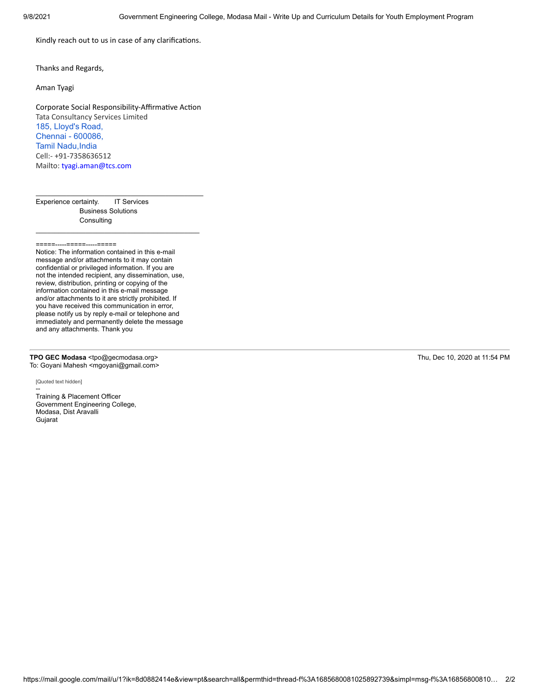Kindly reach out to us in case of any clarifications.

Thanks and Regards,

Aman Tyagi

Corporate Social Responsibility-Affirmative Action Tata Consultancy Services Limited [185, Lloyd's](https://www.google.com/maps/search/185,+Lloyd) [Road,](https://www.google.com/maps/search/185,+Lloyd) [Chennai - 600086,](https://www.google.com/maps/search/185,+Lloyd) **Tamil Nadu, India** Cell:- +91-7358636512 Mailto: [tyagi.aman@tcs.com](mailto:tyagi.aman@tcs.com)

 $\mathcal{L}_\text{max}$  and  $\mathcal{L}_\text{max}$  and  $\mathcal{L}_\text{max}$  and  $\mathcal{L}_\text{max}$ 

 $\mathcal{L}_\text{max}$  and  $\mathcal{L}_\text{max}$  and  $\mathcal{L}_\text{max}$  and  $\mathcal{L}_\text{max}$ 

Experience certainty. IT Services Business Solutions **Consulting** 

 $=$ 

Notice: The information contained in this e-mail message and/or attachments to it may contain confidential or privileged information. If you are not the intended recipient, any dissemination, use, review, distribution, printing or copying of the information contained in this e-mail message and/or attachments to it are strictly prohibited. If you have received this communication in error, please notify us by reply e-mail or telephone and immediately and permanently delete the message and any attachments. Thank you

**TPO GEC Modasa** <tpo@gecmodasa.org> Thu, Dec 10, 2020 at 11:54 PM To: Goyani Mahesh <mgoyani@gmail.com>

[Quoted text hidden]

-- Training & Placement Officer Government Engineering College, Modasa, Dist Aravalli Gujarat